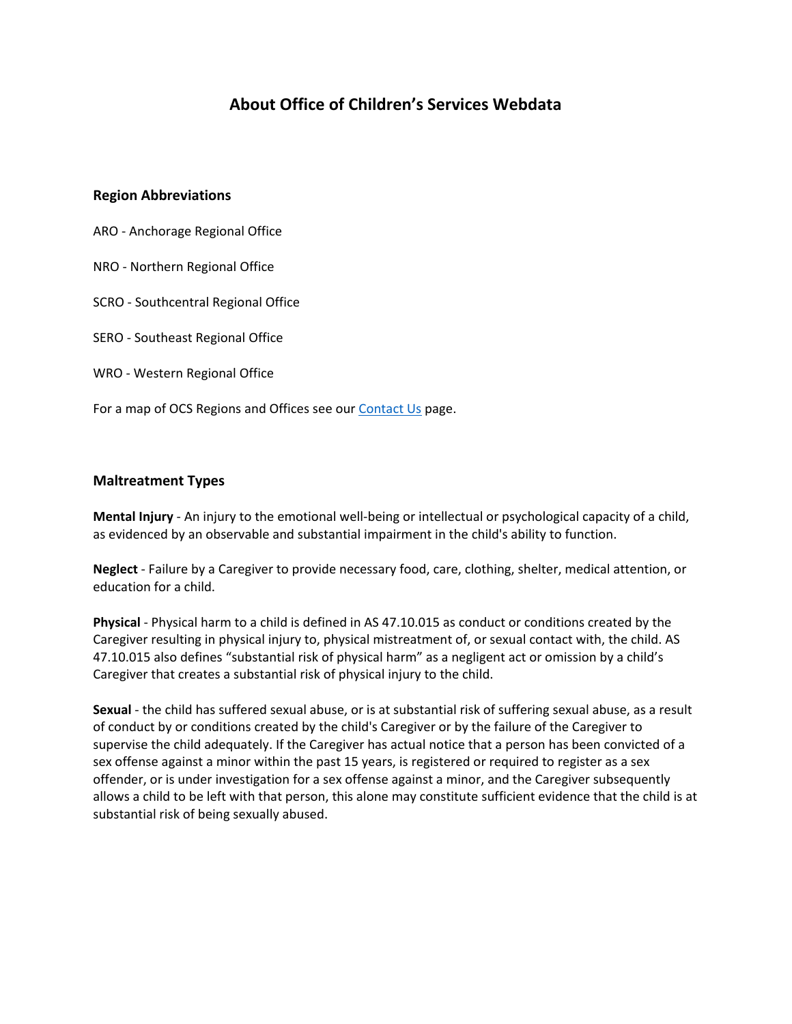# **About Office of Children's Services Webdata**

## **Region Abbreviations**

- ARO Anchorage Regional Office
- NRO Northern Regional Office
- SCRO Southcentral Regional Office
- SERO Southeast Regional Office
- WRO Western Regional Office
- For a map of OCS Regions and Offices see our [Contact Us](http://dhss.alaska.gov/ocs/Pages/offices/default.aspx) page.

## **Maltreatment Types**

**Mental Injury** - An injury to the emotional well-being or intellectual or psychological capacity of a child, as evidenced by an observable and substantial impairment in the child's ability to function.

**Neglect** - Failure by a Caregiver to provide necessary food, care, clothing, shelter, medical attention, or education for a child.

**Physical** - Physical harm to a child is defined in AS 47.10.015 as conduct or conditions created by the Caregiver resulting in physical injury to, physical mistreatment of, or sexual contact with, the child. AS 47.10.015 also defines "substantial risk of physical harm" as a negligent act or omission by a child's Caregiver that creates a substantial risk of physical injury to the child.

**Sexual** - the child has suffered sexual abuse, or is at substantial risk of suffering sexual abuse, as a result of conduct by or conditions created by the child's Caregiver or by the failure of the Caregiver to supervise the child adequately. If the Caregiver has actual notice that a person has been convicted of a sex offense against a minor within the past 15 years, is registered or required to register as a sex offender, or is under investigation for a sex offense against a minor, and the Caregiver subsequently allows a child to be left with that person, this alone may constitute sufficient evidence that the child is at substantial risk of being sexually abused.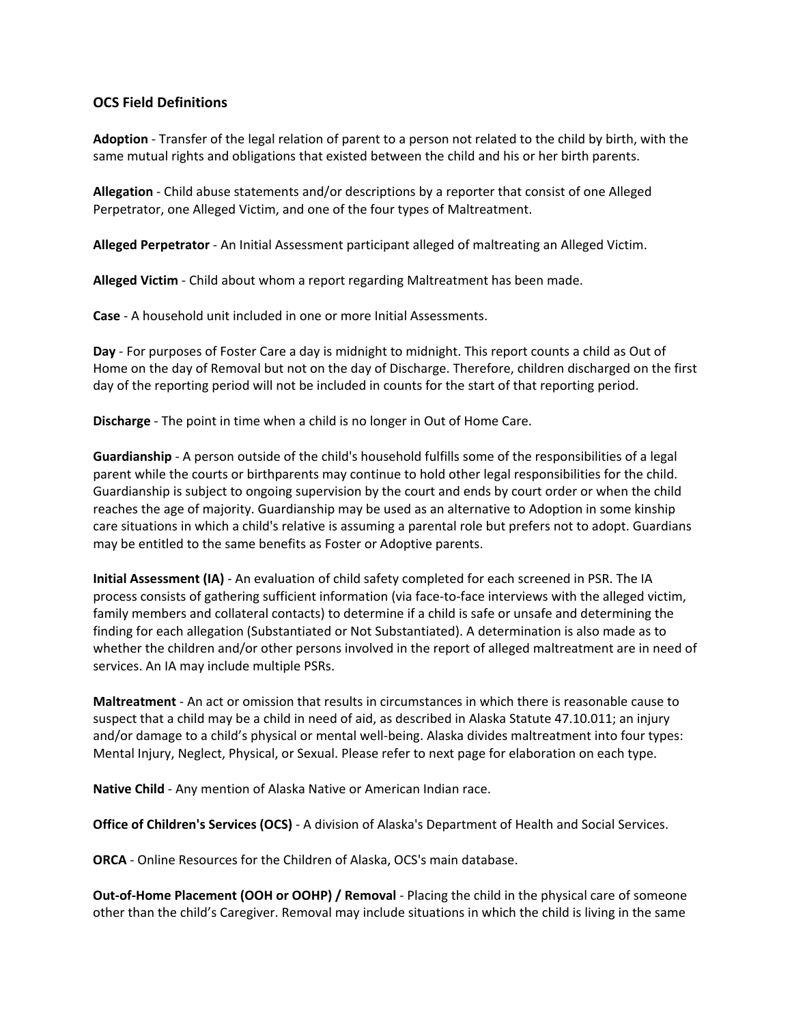# **OCS Field Definitions**

**Adoption** - Transfer of the legal relation of parent to a person not related to the child by birth, with the same mutual rights and obligations that existed between the child and his or her birth parents.

**Allegation** - Child abuse statements and/or descriptions by a reporter that consist of one Alleged Perpetrator, one Alleged Victim, and one of the four types of Maltreatment.

**Alleged Perpetrator** - An Initial Assessment participant alleged of maltreating an Alleged Victim.

**Alleged Victim** - Child about whom a report regarding Maltreatment has been made.

**Case** - A household unit included in one or more Initial Assessments.

**Day** - For purposes of Foster Care a day is midnight to midnight. This report counts a child as Out of Home on the day of Removal but not on the day of Discharge. Therefore, children discharged on the first day of the reporting period will not be included in counts for the start of that reporting period.

**Discharge** - The point in time when a child is no longer in Out of Home Care.

**Guardianship** - A person outside of the child's household fulfills some of the responsibilities of a legal parent while the courts or birthparents may continue to hold other legal responsibilities for the child. Guardianship is subject to ongoing supervision by the court and ends by court order or when the child reaches the age of majority. Guardianship may be used as an alternative to Adoption in some kinship care situations in which a child's relative is assuming a parental role but prefers not to adopt. Guardians may be entitled to the same benefits as Foster or Adoptive parents.

**Initial Assessment (IA)** - An evaluation of child safety completed for each screened in PSR. The IA process consists of gathering sufficient information (via face-to-face interviews with the alleged victim, family members and collateral contacts) to determine if a child is safe or unsafe and determining the finding for each allegation (Substantiated or Not Substantiated). A determination is also made as to whether the children and/or other persons involved in the report of alleged maltreatment are in need of services. An IA may include multiple PSRs.

**Maltreatment** - An act or omission that results in circumstances in which there is reasonable cause to suspect that a child may be a child in need of aid, as described in Alaska Statute 47.10.011; an injury and/or damage to a child's physical or mental well-being. Alaska divides maltreatment into four types: Mental Injury, Neglect, Physical, or Sexual. Please refer to next page for elaboration on each type.

**Native Child** - Any mention of Alaska Native or American Indian race.

**Office of Children's Services (OCS)** - A division of Alaska's Department of Health and Social Services.

**ORCA** - Online Resources for the Children of Alaska, OCS's main database.

**Out-of-Home Placement (OOH or OOHP) / Removal** - Placing the child in the physical care of someone other than the child's Caregiver. Removal may include situations in which the child is living in the same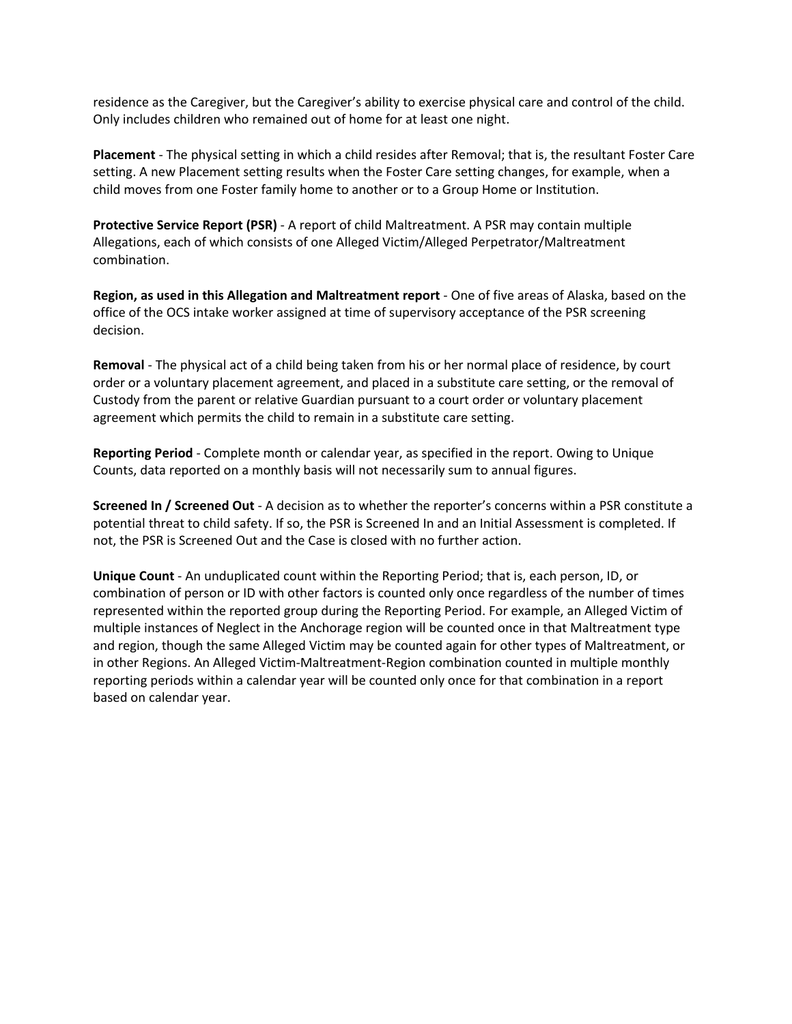residence as the Caregiver, but the Caregiver's ability to exercise physical care and control of the child. Only includes children who remained out of home for at least one night.

**Placement** - The physical setting in which a child resides after Removal; that is, the resultant Foster Care setting. A new Placement setting results when the Foster Care setting changes, for example, when a child moves from one Foster family home to another or to a Group Home or Institution.

**Protective Service Report (PSR)** - A report of child Maltreatment. A PSR may contain multiple Allegations, each of which consists of one Alleged Victim/Alleged Perpetrator/Maltreatment combination.

**Region, as used in this Allegation and Maltreatment report** - One of five areas of Alaska, based on the office of the OCS intake worker assigned at time of supervisory acceptance of the PSR screening decision.

**Removal** - The physical act of a child being taken from his or her normal place of residence, by court order or a voluntary placement agreement, and placed in a substitute care setting, or the removal of Custody from the parent or relative Guardian pursuant to a court order or voluntary placement agreement which permits the child to remain in a substitute care setting.

**Reporting Period** - Complete month or calendar year, as specified in the report. Owing to Unique Counts, data reported on a monthly basis will not necessarily sum to annual figures.

**Screened In / Screened Out** - A decision as to whether the reporter's concerns within a PSR constitute a potential threat to child safety. If so, the PSR is Screened In and an Initial Assessment is completed. If not, the PSR is Screened Out and the Case is closed with no further action.

**Unique Count** - An unduplicated count within the Reporting Period; that is, each person, ID, or combination of person or ID with other factors is counted only once regardless of the number of times represented within the reported group during the Reporting Period. For example, an Alleged Victim of multiple instances of Neglect in the Anchorage region will be counted once in that Maltreatment type and region, though the same Alleged Victim may be counted again for other types of Maltreatment, or in other Regions. An Alleged Victim-Maltreatment-Region combination counted in multiple monthly reporting periods within a calendar year will be counted only once for that combination in a report based on calendar year.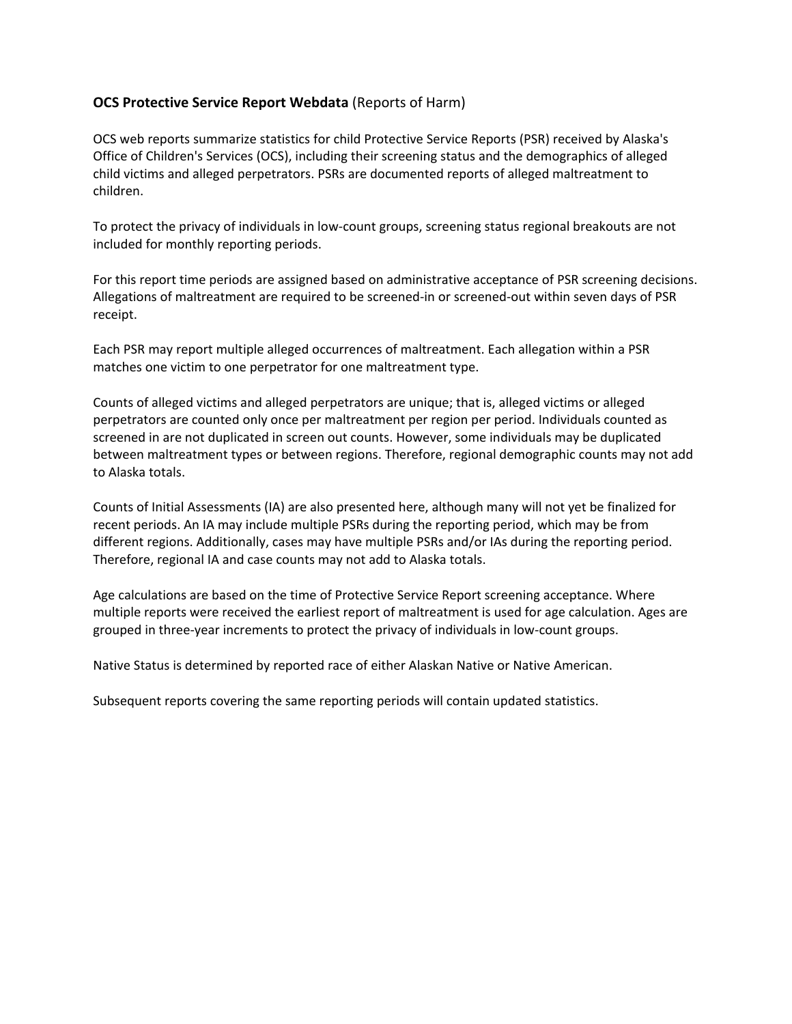# **OCS Protective Service Report Webdata** (Reports of Harm)

OCS web reports summarize statistics for child Protective Service Reports (PSR) received by Alaska's Office of Children's Services (OCS), including their screening status and the demographics of alleged child victims and alleged perpetrators. PSRs are documented reports of alleged maltreatment to children.

To protect the privacy of individuals in low-count groups, screening status regional breakouts are not included for monthly reporting periods.

For this report time periods are assigned based on administrative acceptance of PSR screening decisions. Allegations of maltreatment are required to be screened-in or screened-out within seven days of PSR receipt.

Each PSR may report multiple alleged occurrences of maltreatment. Each allegation within a PSR matches one victim to one perpetrator for one maltreatment type.

Counts of alleged victims and alleged perpetrators are unique; that is, alleged victims or alleged perpetrators are counted only once per maltreatment per region per period. Individuals counted as screened in are not duplicated in screen out counts. However, some individuals may be duplicated between maltreatment types or between regions. Therefore, regional demographic counts may not add to Alaska totals.

Counts of Initial Assessments (IA) are also presented here, although many will not yet be finalized for recent periods. An IA may include multiple PSRs during the reporting period, which may be from different regions. Additionally, cases may have multiple PSRs and/or IAs during the reporting period. Therefore, regional IA and case counts may not add to Alaska totals.

Age calculations are based on the time of Protective Service Report screening acceptance. Where multiple reports were received the earliest report of maltreatment is used for age calculation. Ages are grouped in three-year increments to protect the privacy of individuals in low-count groups.

Native Status is determined by reported race of either Alaskan Native or Native American.

Subsequent reports covering the same reporting periods will contain updated statistics.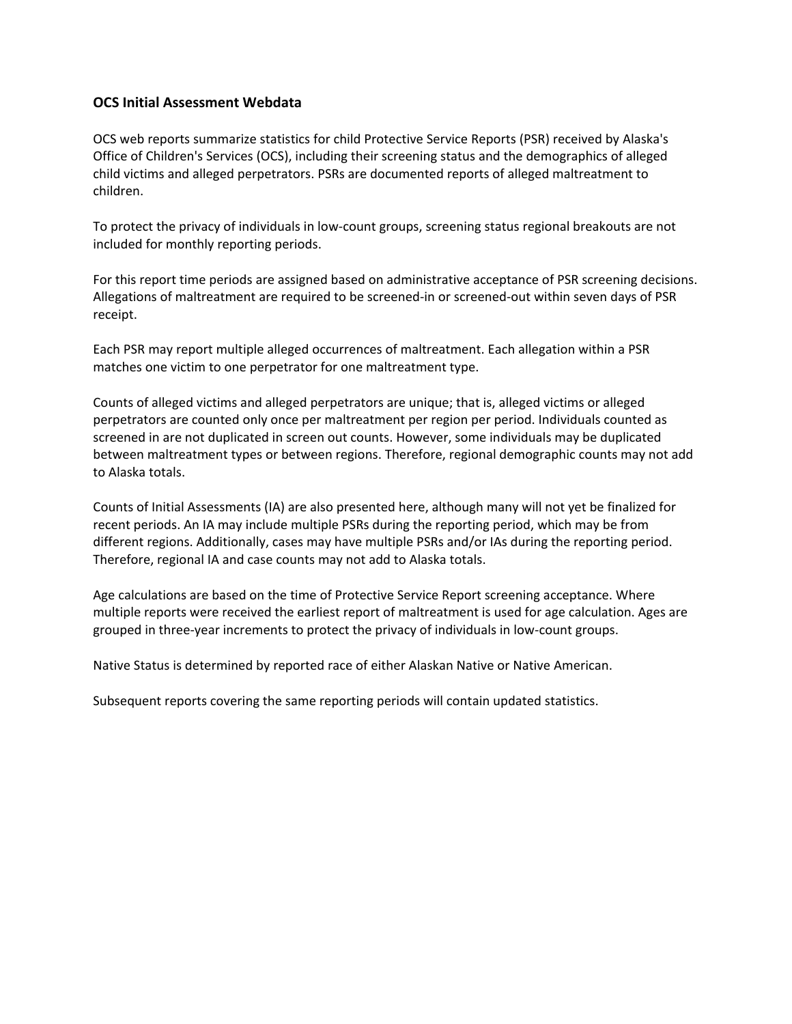## **OCS Initial Assessment Webdata**

OCS web reports summarize statistics for child Protective Service Reports (PSR) received by Alaska's Office of Children's Services (OCS), including their screening status and the demographics of alleged child victims and alleged perpetrators. PSRs are documented reports of alleged maltreatment to children.

To protect the privacy of individuals in low-count groups, screening status regional breakouts are not included for monthly reporting periods.

For this report time periods are assigned based on administrative acceptance of PSR screening decisions. Allegations of maltreatment are required to be screened-in or screened-out within seven days of PSR receipt.

Each PSR may report multiple alleged occurrences of maltreatment. Each allegation within a PSR matches one victim to one perpetrator for one maltreatment type.

Counts of alleged victims and alleged perpetrators are unique; that is, alleged victims or alleged perpetrators are counted only once per maltreatment per region per period. Individuals counted as screened in are not duplicated in screen out counts. However, some individuals may be duplicated between maltreatment types or between regions. Therefore, regional demographic counts may not add to Alaska totals.

Counts of Initial Assessments (IA) are also presented here, although many will not yet be finalized for recent periods. An IA may include multiple PSRs during the reporting period, which may be from different regions. Additionally, cases may have multiple PSRs and/or IAs during the reporting period. Therefore, regional IA and case counts may not add to Alaska totals.

Age calculations are based on the time of Protective Service Report screening acceptance. Where multiple reports were received the earliest report of maltreatment is used for age calculation. Ages are grouped in three-year increments to protect the privacy of individuals in low-count groups.

Native Status is determined by reported race of either Alaskan Native or Native American.

Subsequent reports covering the same reporting periods will contain updated statistics.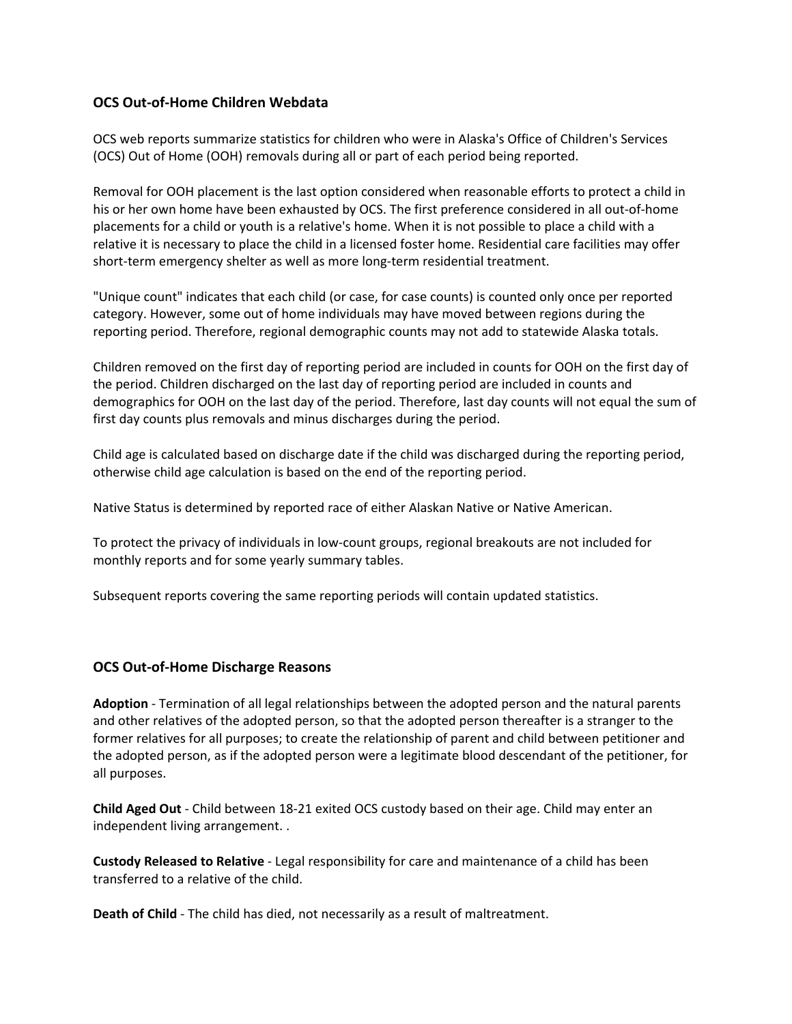## **OCS Out-of-Home Children Webdata**

OCS web reports summarize statistics for children who were in Alaska's Office of Children's Services (OCS) Out of Home (OOH) removals during all or part of each period being reported.

Removal for OOH placement is the last option considered when reasonable efforts to protect a child in his or her own home have been exhausted by OCS. The first preference considered in all out-of-home placements for a child or youth is a relative's home. When it is not possible to place a child with a relative it is necessary to place the child in a licensed foster home. Residential care facilities may offer short-term emergency shelter as well as more long-term residential treatment.

"Unique count" indicates that each child (or case, for case counts) is counted only once per reported category. However, some out of home individuals may have moved between regions during the reporting period. Therefore, regional demographic counts may not add to statewide Alaska totals.

Children removed on the first day of reporting period are included in counts for OOH on the first day of the period. Children discharged on the last day of reporting period are included in counts and demographics for OOH on the last day of the period. Therefore, last day counts will not equal the sum of first day counts plus removals and minus discharges during the period.

Child age is calculated based on discharge date if the child was discharged during the reporting period, otherwise child age calculation is based on the end of the reporting period.

Native Status is determined by reported race of either Alaskan Native or Native American.

To protect the privacy of individuals in low-count groups, regional breakouts are not included for monthly reports and for some yearly summary tables.

Subsequent reports covering the same reporting periods will contain updated statistics.

#### **OCS Out-of-Home Discharge Reasons**

**Adoption** - Termination of all legal relationships between the adopted person and the natural parents and other relatives of the adopted person, so that the adopted person thereafter is a stranger to the former relatives for all purposes; to create the relationship of parent and child between petitioner and the adopted person, as if the adopted person were a legitimate blood descendant of the petitioner, for all purposes.

**Child Aged Out** - Child between 18-21 exited OCS custody based on their age. Child may enter an independent living arrangement. .

**Custody Released to Relative** - Legal responsibility for care and maintenance of a child has been transferred to a relative of the child.

**Death of Child** - The child has died, not necessarily as a result of maltreatment.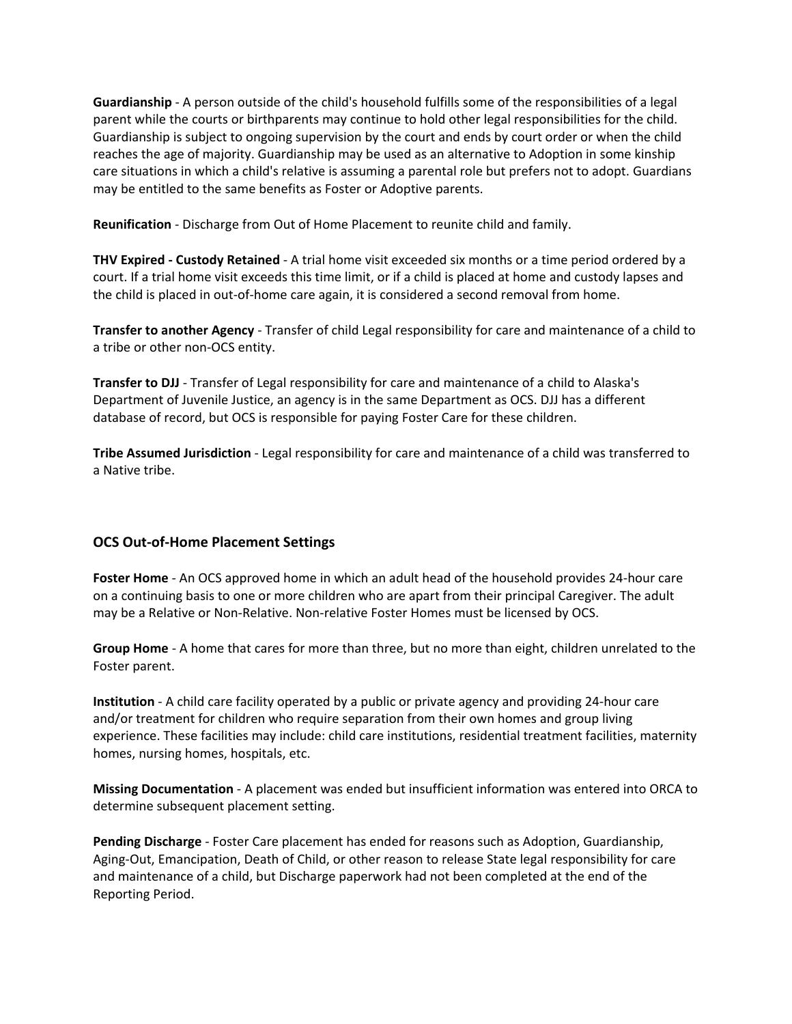**Guardianship** - A person outside of the child's household fulfills some of the responsibilities of a legal parent while the courts or birthparents may continue to hold other legal responsibilities for the child. Guardianship is subject to ongoing supervision by the court and ends by court order or when the child reaches the age of majority. Guardianship may be used as an alternative to Adoption in some kinship care situations in which a child's relative is assuming a parental role but prefers not to adopt. Guardians may be entitled to the same benefits as Foster or Adoptive parents.

**Reunification** - Discharge from Out of Home Placement to reunite child and family.

**THV Expired - Custody Retained** - A trial home visit exceeded six months or a time period ordered by a court. If a trial home visit exceeds this time limit, or if a child is placed at home and custody lapses and the child is placed in out-of-home care again, it is considered a second removal from home.

**Transfer to another Agency** - Transfer of child Legal responsibility for care and maintenance of a child to a tribe or other non-OCS entity.

**Transfer to DJJ** - Transfer of Legal responsibility for care and maintenance of a child to Alaska's Department of Juvenile Justice, an agency is in the same Department as OCS. DJJ has a different database of record, but OCS is responsible for paying Foster Care for these children.

**Tribe Assumed Jurisdiction** - Legal responsibility for care and maintenance of a child was transferred to a Native tribe.

# **OCS Out-of-Home Placement Settings**

**Foster Home** - An OCS approved home in which an adult head of the household provides 24-hour care on a continuing basis to one or more children who are apart from their principal Caregiver. The adult may be a Relative or Non-Relative. Non-relative Foster Homes must be licensed by OCS.

**Group Home** - A home that cares for more than three, but no more than eight, children unrelated to the Foster parent.

**Institution** - A child care facility operated by a public or private agency and providing 24-hour care and/or treatment for children who require separation from their own homes and group living experience. These facilities may include: child care institutions, residential treatment facilities, maternity homes, nursing homes, hospitals, etc.

**Missing Documentation** - A placement was ended but insufficient information was entered into ORCA to determine subsequent placement setting.

**Pending Discharge** - Foster Care placement has ended for reasons such as Adoption, Guardianship, Aging-Out, Emancipation, Death of Child, or other reason to release State legal responsibility for care and maintenance of a child, but Discharge paperwork had not been completed at the end of the Reporting Period.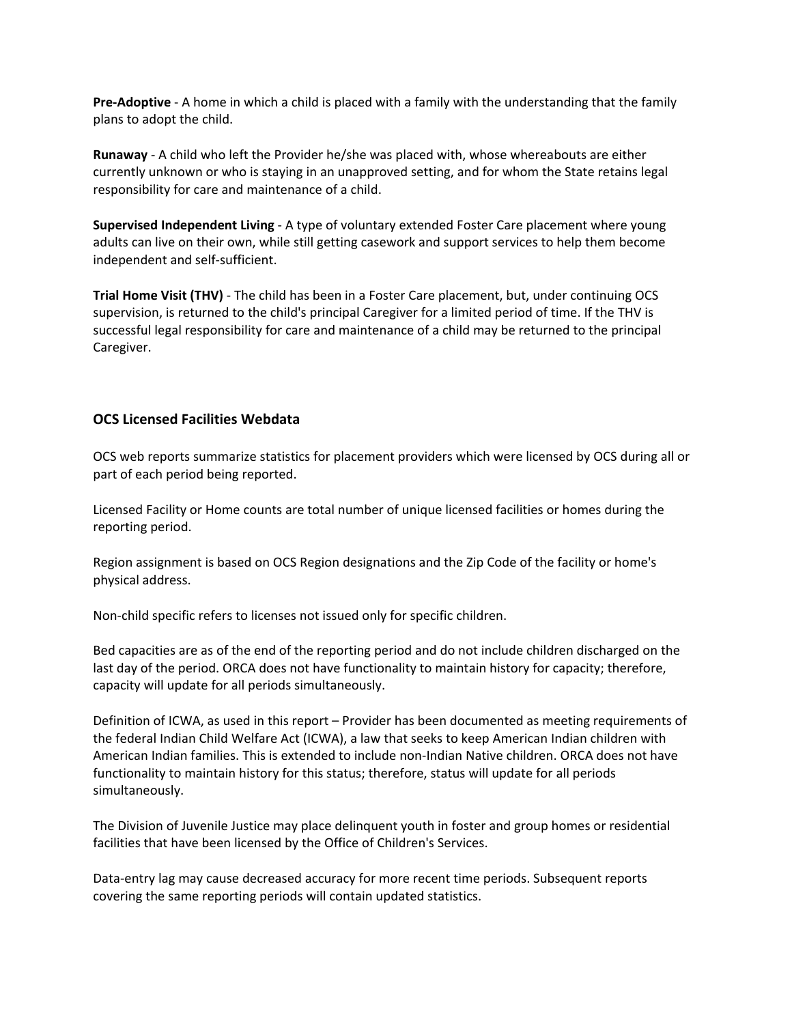**Pre-Adoptive** - A home in which a child is placed with a family with the understanding that the family plans to adopt the child.

**Runaway** - A child who left the Provider he/she was placed with, whose whereabouts are either currently unknown or who is staying in an unapproved setting, and for whom the State retains legal responsibility for care and maintenance of a child.

**Supervised Independent Living** - A type of voluntary extended Foster Care placement where young adults can live on their own, while still getting casework and support services to help them become independent and self-sufficient.

**Trial Home Visit (THV)** - The child has been in a Foster Care placement, but, under continuing OCS supervision, is returned to the child's principal Caregiver for a limited period of time. If the THV is successful legal responsibility for care and maintenance of a child may be returned to the principal Caregiver.

## **OCS Licensed Facilities Webdata**

OCS web reports summarize statistics for placement providers which were licensed by OCS during all or part of each period being reported.

Licensed Facility or Home counts are total number of unique licensed facilities or homes during the reporting period.

Region assignment is based on OCS Region designations and the Zip Code of the facility or home's physical address.

Non-child specific refers to licenses not issued only for specific children.

Bed capacities are as of the end of the reporting period and do not include children discharged on the last day of the period. ORCA does not have functionality to maintain history for capacity; therefore, capacity will update for all periods simultaneously.

Definition of ICWA, as used in this report – Provider has been documented as meeting requirements of the federal Indian Child Welfare Act (ICWA), a law that seeks to keep American Indian children with American Indian families. This is extended to include non-Indian Native children. ORCA does not have functionality to maintain history for this status; therefore, status will update for all periods simultaneously.

The Division of Juvenile Justice may place delinquent youth in foster and group homes or residential facilities that have been licensed by the Office of Children's Services.

Data-entry lag may cause decreased accuracy for more recent time periods. Subsequent reports covering the same reporting periods will contain updated statistics.